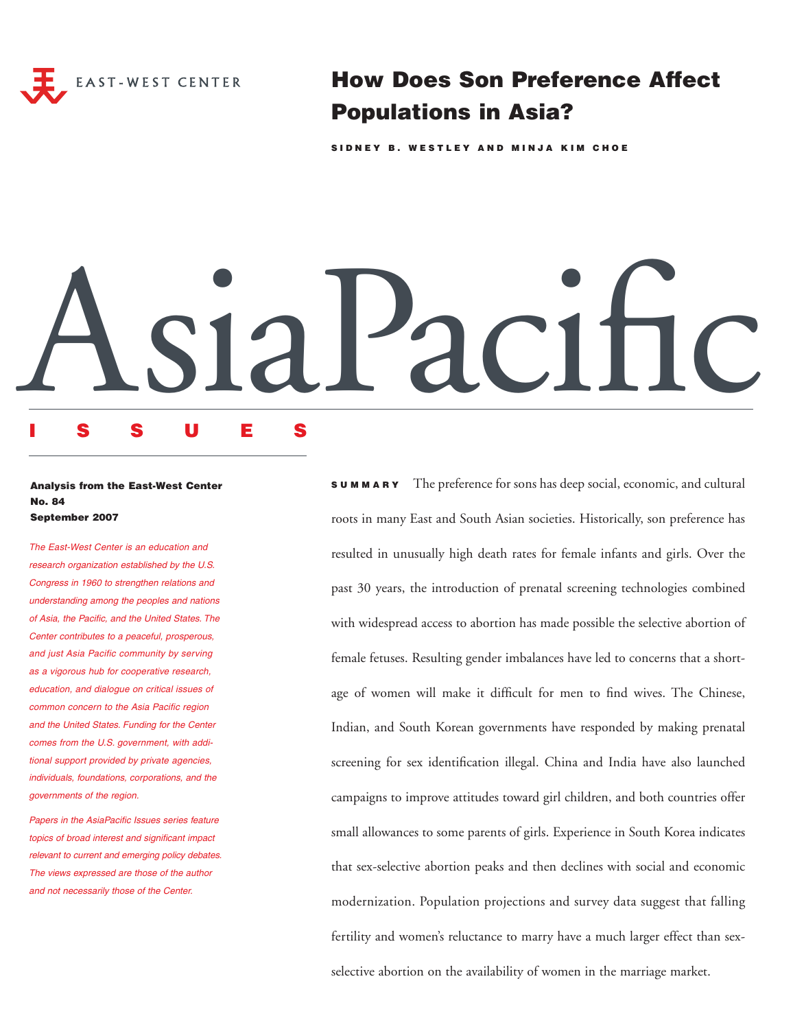

How Does Son Preference Affect Populations in Asia?

SIDNEY B. WESTLEY AND MINJA KIM CHOE

# AsiaPacific

# ISSUES

# Analysis from the East-West Center No. 84 September 2007

The East-West Center is an education and research organization established by the U.S. Congress in 1960 to strengthen relations and understanding among the peoples and nations of Asia, the Pacific, and the United States. The Center contributes to a peaceful, prosperous, and just Asia Pacific community by serving as a vigorous hub for cooperative research, education, and dialogue on critical issues of common concern to the Asia Pacific region and the United States. Funding for the Center comes from the U.S. government, with additional support provided by private agencies, individuals, foundations, corporations, and the governments of the region.

Papers in the AsiaPacific Issues series feature topics of broad interest and significant impact relevant to current and emerging policy debates. The views expressed are those of the author and not necessarily those of the Center.

SUMMARY The preference for sons has deep social, economic, and cultural roots in many East and South Asian societies. Historically, son preference has resulted in unusually high death rates for female infants and girls. Over the past 30 years, the introduction of prenatal screening technologies combined with widespread access to abortion has made possible the selective abortion of female fetuses. Resulting gender imbalances have led to concerns that a shortage of women will make it difficult for men to find wives. The Chinese, Indian, and South Korean governments have responded by making prenatal screening for sex identification illegal. China and India have also launched campaigns to improve attitudes toward girl children, and both countries offer small allowances to some parents of girls. Experience in South Korea indicates that sex-selective abortion peaks and then declines with social and economic modernization. Population projections and survey data suggest that falling fertility and women's reluctance to marry have a much larger effect than sexselective abortion on the availability of women in the marriage market.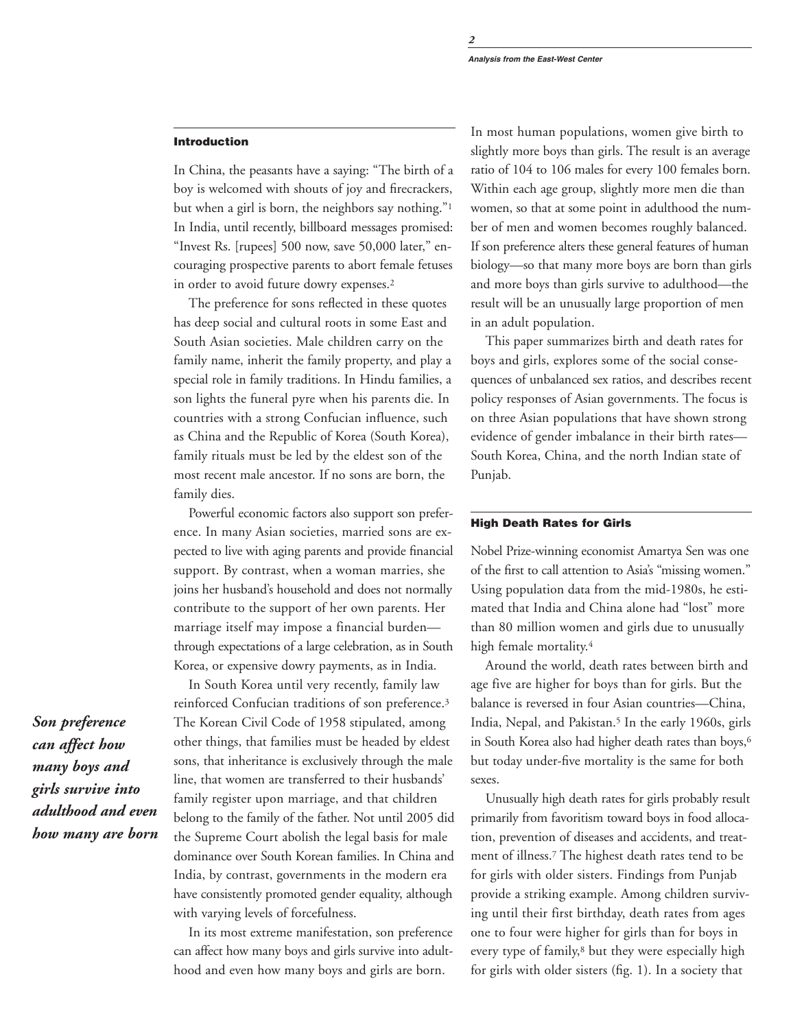## Introduction

In China, the peasants have a saying: "The birth of a boy is welcomed with shouts of joy and firecrackers, but when a girl is born, the neighbors say nothing."1 In India, until recently, billboard messages promised: "Invest Rs. [rupees] 500 now, save 50,000 later," encouraging prospective parents to abort female fetuses in order to avoid future dowry expenses.<sup>2</sup>

The preference for sons reflected in these quotes has deep social and cultural roots in some East and South Asian societies. Male children carry on the family name, inherit the family property, and play a special role in family traditions. In Hindu families, a son lights the funeral pyre when his parents die. In countries with a strong Confucian influence, such as China and the Republic of Korea (South Korea), family rituals must be led by the eldest son of the most recent male ancestor. If no sons are born, the family dies.

Powerful economic factors also support son preference. In many Asian societies, married sons are expected to live with aging parents and provide financial support. By contrast, when a woman marries, she joins her husband's household and does not normally contribute to the support of her own parents. Her marriage itself may impose a financial burden through expectations of a large celebration, as in South Korea, or expensive dowry payments, as in India.

In South Korea until very recently, family law reinforced Confucian traditions of son preference.3 The Korean Civil Code of 1958 stipulated, among other things, that families must be headed by eldest sons, that inheritance is exclusively through the male line, that women are transferred to their husbands' family register upon marriage, and that children belong to the family of the father. Not until 2005 did the Supreme Court abolish the legal basis for male dominance over South Korean families. In China and India, by contrast, governments in the modern era have consistently promoted gender equality, although with varying levels of forcefulness.

In its most extreme manifestation, son preference can affect how many boys and girls survive into adulthood and even how many boys and girls are born.

In most human populations, women give birth to slightly more boys than girls. The result is an average ratio of 104 to 106 males for every 100 females born. Within each age group, slightly more men die than women, so that at some point in adulthood the number of men and women becomes roughly balanced. If son preference alters these general features of human biology—so that many more boys are born than girls and more boys than girls survive to adulthood—the result will be an unusually large proportion of men in an adult population.

This paper summarizes birth and death rates for boys and girls, explores some of the social consequences of unbalanced sex ratios, and describes recent policy responses of Asian governments. The focus is on three Asian populations that have shown strong evidence of gender imbalance in their birth rates— South Korea, China, and the north Indian state of Punjab.

# High Death Rates for Girls

Nobel Prize-winning economist Amartya Sen was one of the first to call attention to Asia's "missing women." Using population data from the mid-1980s, he estimated that India and China alone had "lost" more than 80 million women and girls due to unusually high female mortality.4

Around the world, death rates between birth and age five are higher for boys than for girls. But the balance is reversed in four Asian countries—China, India, Nepal, and Pakistan.<sup>5</sup> In the early 1960s, girls in South Korea also had higher death rates than boys,<sup>6</sup> but today under-five mortality is the same for both sexes.

Unusually high death rates for girls probably result primarily from favoritism toward boys in food allocation, prevention of diseases and accidents, and treatment of illness.7 The highest death rates tend to be for girls with older sisters. Findings from Punjab provide a striking example. Among children surviving until their first birthday, death rates from ages one to four were higher for girls than for boys in every type of family,<sup>8</sup> but they were especially high for girls with older sisters (fig. 1). In a society that

*Son preference can affect how many boys and girls survive into adulthood and even how many are born*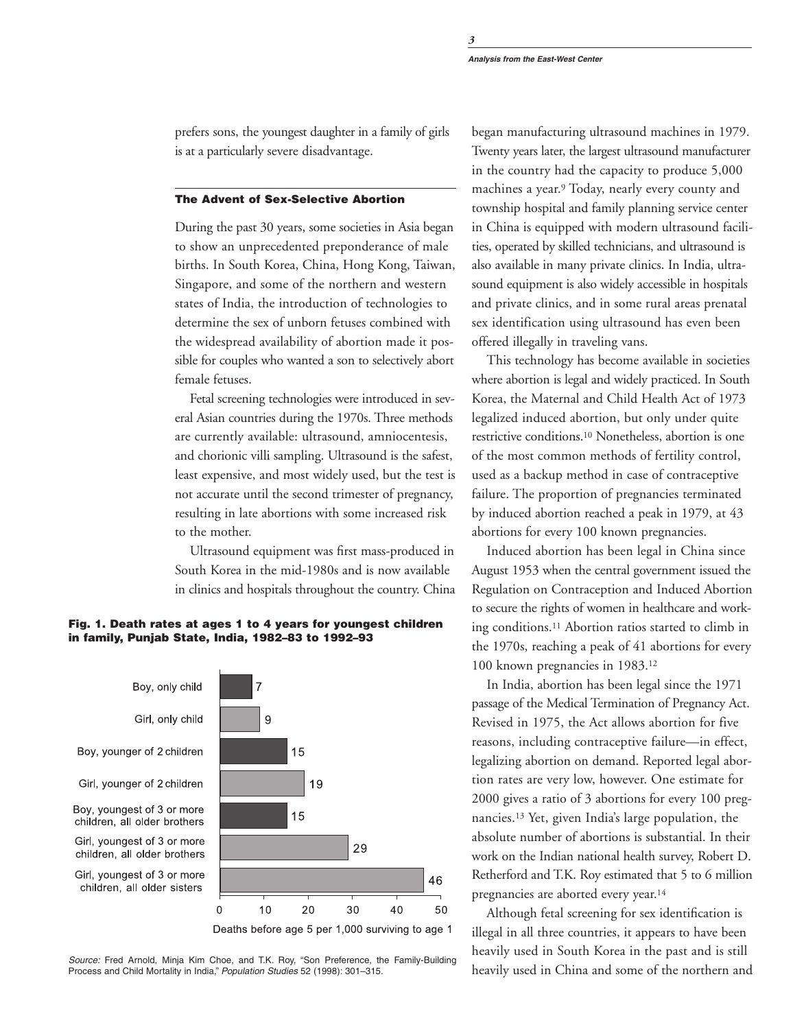prefers sons, the youngest daughter in a family of girls is at a particularly severe disadvantage.

## The Advent of Sex-Selective Abortion

During the past 30 years, some societies in Asia began to show an unprecedented preponderance of male births. In South Korea, China, Hong Kong, Taiwan, Singapore, and some of the northern and western states of India, the introduction of technologies to determine the sex of unborn fetuses combined with the widespread availability of abortion made it possible for couples who wanted a son to selectively abort female fetuses.

Fetal screening technologies were introduced in several Asian countries during the 1970s. Three methods are currently available: ultrasound, amniocentesis, and chorionic villi sampling. Ultrasound is the safest, least expensive, and most widely used, but the test is not accurate until the second trimester of pregnancy, resulting in late abortions with some increased risk to the mother.

Ultrasound equipment was first mass-produced in South Korea in the mid-1980s and is now available in clinics and hospitals throughout the country. China

## Fig. 1. Death rates at ages 1 to 4 years for youngest children in family, Punjab State, India, 1982–83 to 1992–93



Deaths before age 5 per 1,000 surviving to age 1

50

Source: Fred Arnold, Minja Kim Choe, and T.K. Roy, "Son Preference, the Family-Building Process and Child Mortality in India," Population Studies 52 (1998): 301–315.

began manufacturing ultrasound machines in 1979. Twenty years later, the largest ultrasound manufacturer in the country had the capacity to produce 5,000 machines a year.9 Today, nearly every county and township hospital and family planning service center in China is equipped with modern ultrasound facilities, operated by skilled technicians, and ultrasound is also available in many private clinics. In India, ultrasound equipment is also widely accessible in hospitals and private clinics, and in some rural areas prenatal sex identification using ultrasound has even been offered illegally in traveling vans.

This technology has become available in societies where abortion is legal and widely practiced. In South Korea, the Maternal and Child Health Act of 1973 legalized induced abortion, but only under quite restrictive conditions.10 Nonetheless, abortion is one of the most common methods of fertility control, used as a backup method in case of contraceptive failure. The proportion of pregnancies terminated by induced abortion reached a peak in 1979, at 43 abortions for every 100 known pregnancies.

Induced abortion has been legal in China since August 1953 when the central government issued the Regulation on Contraception and Induced Abortion to secure the rights of women in healthcare and working conditions.11 Abortion ratios started to climb in the 1970s, reaching a peak of 41 abortions for every 100 known pregnancies in 1983.12

In India, abortion has been legal since the 1971 passage of the Medical Termination of Pregnancy Act. Revised in 1975, the Act allows abortion for five reasons, including contraceptive failure—in effect, legalizing abortion on demand. Reported legal abortion rates are very low, however. One estimate for 2000 gives a ratio of 3 abortions for every 100 pregnancies.13 Yet, given India's large population, the absolute number of abortions is substantial. In their work on the Indian national health survey, Robert D. Retherford and T.K. Roy estimated that 5 to 6 million pregnancies are aborted every year.14

Although fetal screening for sex identification is illegal in all three countries, it appears to have been heavily used in South Korea in the past and is still heavily used in China and some of the northern and

*3*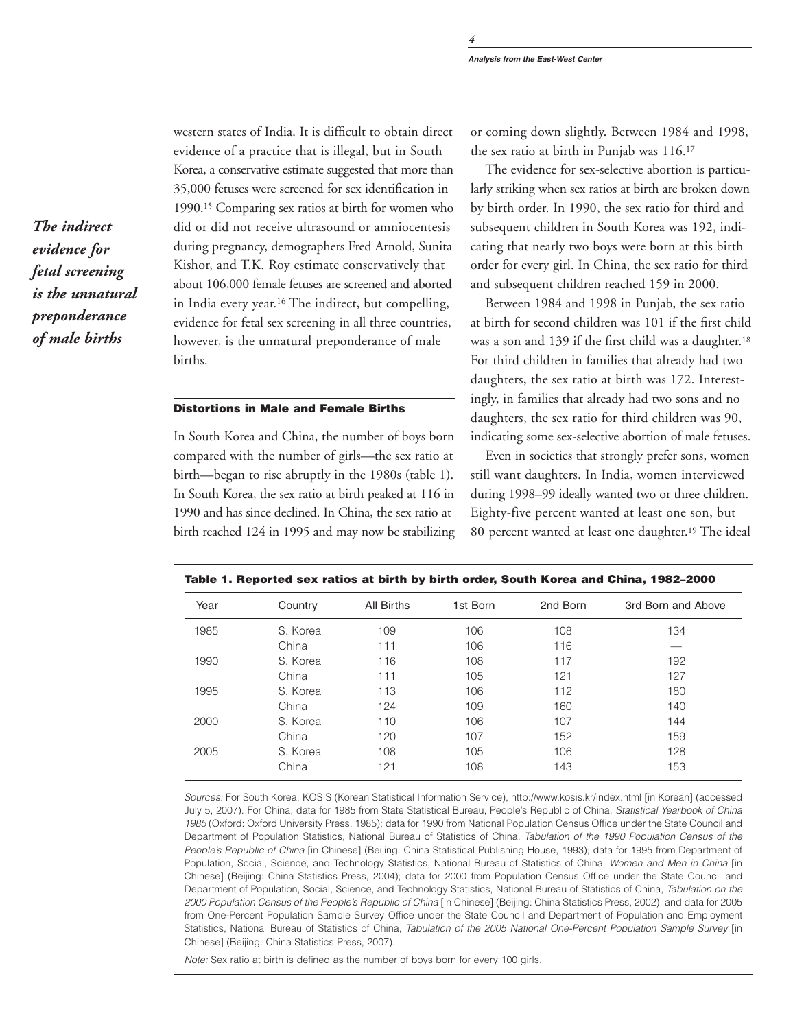western states of India. It is difficult to obtain direct evidence of a practice that is illegal, but in South Korea, a conservative estimate suggested that more than 35,000 fetuses were screened for sex identification in 1990.15 Comparing sex ratios at birth for women who did or did not receive ultrasound or amniocentesis during pregnancy, demographers Fred Arnold, Sunita Kishor, and T.K. Roy estimate conservatively that about 106,000 female fetuses are screened and aborted in India every year.16 The indirect, but compelling, evidence for fetal sex screening in all three countries, however, is the unnatural preponderance of male births.

# Distortions in Male and Female Births

In South Korea and China, the number of boys born compared with the number of girls—the sex ratio at birth—began to rise abruptly in the 1980s (table 1). In South Korea, the sex ratio at birth peaked at 116 in 1990 and has since declined. In China, the sex ratio at birth reached 124 in 1995 and may now be stabilizing or coming down slightly. Between 1984 and 1998, the sex ratio at birth in Punjab was 116.17

The evidence for sex-selective abortion is particularly striking when sex ratios at birth are broken down by birth order. In 1990, the sex ratio for third and subsequent children in South Korea was 192, indicating that nearly two boys were born at this birth order for every girl. In China, the sex ratio for third and subsequent children reached 159 in 2000.

Between 1984 and 1998 in Punjab, the sex ratio at birth for second children was 101 if the first child was a son and 139 if the first child was a daughter.18 For third children in families that already had two daughters, the sex ratio at birth was 172. Interestingly, in families that already had two sons and no daughters, the sex ratio for third children was 90, indicating some sex-selective abortion of male fetuses.

Even in societies that strongly prefer sons, women still want daughters. In India, women interviewed during 1998–99 ideally wanted two or three children. Eighty-five percent wanted at least one son, but 80 percent wanted at least one daughter.19 The ideal

| Year | Country  | All Births | 1st Born | 2nd Born | 3rd Born and Above |
|------|----------|------------|----------|----------|--------------------|
| 1985 | S. Korea | 109        | 106      | 108      | 134                |
|      | China    | 111        | 106      | 116      |                    |
| 1990 | S. Korea | 116        | 108      | 117      | 192                |
|      | China    | 111        | 105      | 121      | 127                |
| 1995 | S. Korea | 113        | 106      | 112      | 180                |
|      | China    | 124        | 109      | 160      | 140                |
| 2000 | S. Korea | 110        | 106      | 107      | 144                |
|      | China    | 120        | 107      | 152      | 159                |
| 2005 | S. Korea | 108        | 105      | 106      | 128                |
|      | China    | 121        | 108      | 143      | 153                |

Sources: For South Korea, KOSIS (Korean Statistical Information Service), http://www.kosis.kr/index.html [in Korean] (accessed July 5, 2007). For China, data for 1985 from State Statistical Bureau, People's Republic of China, Statistical Yearbook of China 1985 (Oxford: Oxford University Press, 1985); data for 1990 from National Population Census Office under the State Council and Department of Population Statistics, National Bureau of Statistics of China, Tabulation of the 1990 Population Census of the People's Republic of China [in Chinese] (Beijing: China Statistical Publishing House, 1993); data for 1995 from Department of Population, Social, Science, and Technology Statistics, National Bureau of Statistics of China, Women and Men in China [in Chinese] (Beijing: China Statistics Press, 2004); data for 2000 from Population Census Office under the State Council and Department of Population, Social, Science, and Technology Statistics, National Bureau of Statistics of China, Tabulation on the 2000 Population Census of the People's Republic of China [in Chinese] (Beijing: China Statistics Press, 2002); and data for 2005 from One-Percent Population Sample Survey Office under the State Council and Department of Population and Employment Statistics, National Bureau of Statistics of China, Tabulation of the 2005 National One-Percent Population Sample Survey [in Chinese] (Beijing: China Statistics Press, 2007).

Note: Sex ratio at birth is defined as the number of boys born for every 100 girls.

*The indirect evidence for fetal screening is the unnatural preponderance of male births*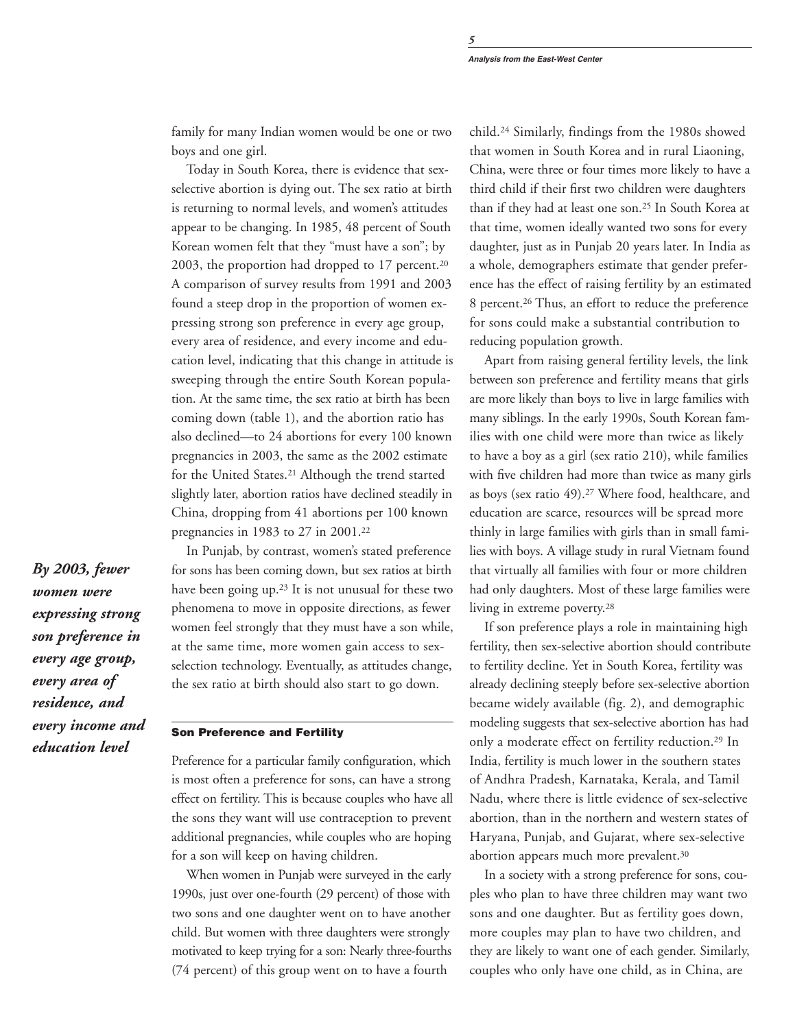family for many Indian women would be one or two boys and one girl.

Today in South Korea, there is evidence that sexselective abortion is dying out. The sex ratio at birth is returning to normal levels, and women's attitudes appear to be changing. In 1985, 48 percent of South Korean women felt that they "must have a son"; by 2003, the proportion had dropped to 17 percent.20 A comparison of survey results from 1991 and 2003 found a steep drop in the proportion of women expressing strong son preference in every age group, every area of residence, and every income and education level, indicating that this change in attitude is sweeping through the entire South Korean population. At the same time, the sex ratio at birth has been coming down (table 1), and the abortion ratio has also declined—to 24 abortions for every 100 known pregnancies in 2003, the same as the 2002 estimate for the United States.21 Although the trend started slightly later, abortion ratios have declined steadily in China, dropping from 41 abortions per 100 known pregnancies in 1983 to 27 in 2001.22

*By 2003, fewer women were expressing strong son preference in every age group, every area of residence, and every income and education level*

In Punjab, by contrast, women's stated preference for sons has been coming down, but sex ratios at birth have been going up.23 It is not unusual for these two phenomena to move in opposite directions, as fewer women feel strongly that they must have a son while, at the same time, more women gain access to sexselection technology. Eventually, as attitudes change, the sex ratio at birth should also start to go down.

# Son Preference and Fertility

Preference for a particular family configuration, which is most often a preference for sons, can have a strong effect on fertility. This is because couples who have all the sons they want will use contraception to prevent additional pregnancies, while couples who are hoping for a son will keep on having children.

When women in Punjab were surveyed in the early 1990s, just over one-fourth (29 percent) of those with two sons and one daughter went on to have another child. But women with three daughters were strongly motivated to keep trying for a son: Nearly three-fourths (74 percent) of this group went on to have a fourth

child.24 Similarly, findings from the 1980s showed that women in South Korea and in rural Liaoning, China, were three or four times more likely to have a third child if their first two children were daughters than if they had at least one son.25 In South Korea at that time, women ideally wanted two sons for every daughter, just as in Punjab 20 years later. In India as a whole, demographers estimate that gender preference has the effect of raising fertility by an estimated 8 percent.26 Thus, an effort to reduce the preference for sons could make a substantial contribution to reducing population growth.

Apart from raising general fertility levels, the link between son preference and fertility means that girls are more likely than boys to live in large families with many siblings. In the early 1990s, South Korean families with one child were more than twice as likely to have a boy as a girl (sex ratio 210), while families with five children had more than twice as many girls as boys (sex ratio 49).27 Where food, healthcare, and education are scarce, resources will be spread more thinly in large families with girls than in small families with boys. A village study in rural Vietnam found that virtually all families with four or more children had only daughters. Most of these large families were living in extreme poverty.28

If son preference plays a role in maintaining high fertility, then sex-selective abortion should contribute to fertility decline. Yet in South Korea, fertility was already declining steeply before sex-selective abortion became widely available (fig. 2), and demographic modeling suggests that sex-selective abortion has had only a moderate effect on fertility reduction.29 In India, fertility is much lower in the southern states of Andhra Pradesh, Karnataka, Kerala, and Tamil Nadu, where there is little evidence of sex-selective abortion, than in the northern and western states of Haryana, Punjab, and Gujarat, where sex-selective abortion appears much more prevalent.30

In a society with a strong preference for sons, couples who plan to have three children may want two sons and one daughter. But as fertility goes down, more couples may plan to have two children, and they are likely to want one of each gender. Similarly, couples who only have one child, as in China, are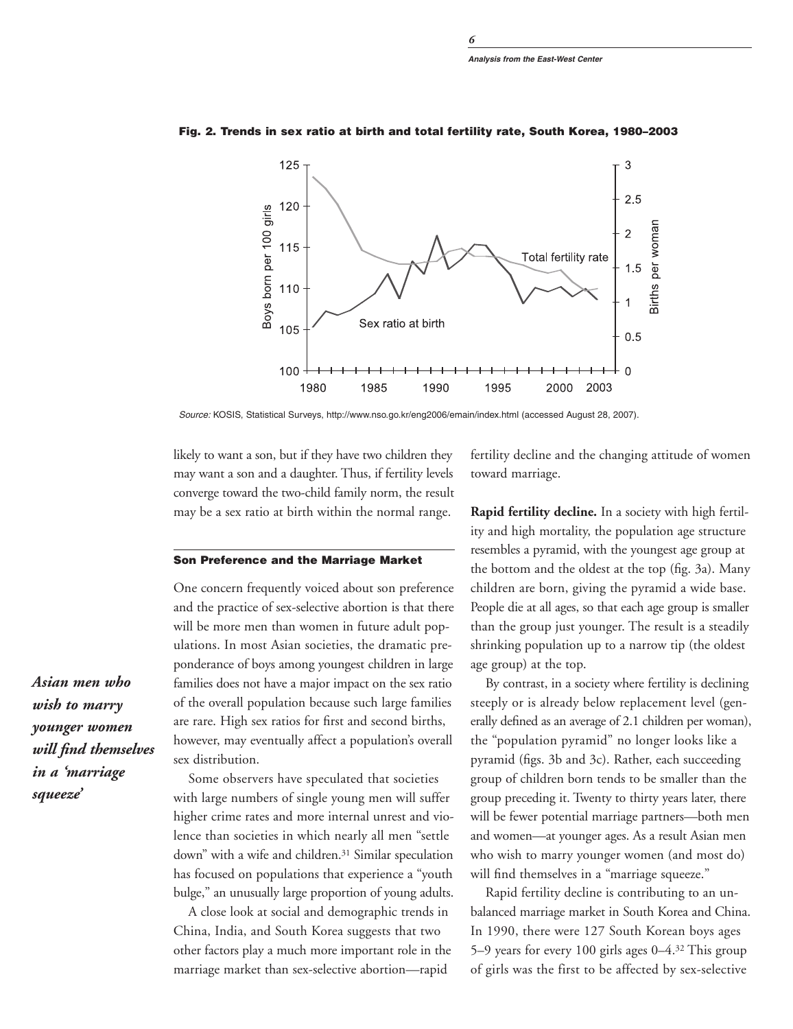*6*



Fig. 2. Trends in sex ratio at birth and total fertility rate, South Korea, 1980–2003

Source: KOSIS, Statistical Surveys, http://www.nso.go.kr/eng2006/emain/index.html (accessed August 28, 2007).

likely to want a son, but if they have two children they may want a son and a daughter. Thus, if fertility levels converge toward the two-child family norm, the result may be a sex ratio at birth within the normal range.

### Son Preference and the Marriage Market

One concern frequently voiced about son preference and the practice of sex-selective abortion is that there will be more men than women in future adult populations. In most Asian societies, the dramatic preponderance of boys among youngest children in large families does not have a major impact on the sex ratio of the overall population because such large families are rare. High sex ratios for first and second births, however, may eventually affect a population's overall sex distribution.

Some observers have speculated that societies with large numbers of single young men will suffer higher crime rates and more internal unrest and violence than societies in which nearly all men "settle down" with a wife and children.<sup>31</sup> Similar speculation has focused on populations that experience a "youth bulge," an unusually large proportion of young adults.

A close look at social and demographic trends in China, India, and South Korea suggests that two other factors play a much more important role in the marriage market than sex-selective abortion—rapid

fertility decline and the changing attitude of women toward marriage.

**Rapid fertility decline.** In a society with high fertility and high mortality, the population age structure resembles a pyramid, with the youngest age group at the bottom and the oldest at the top (fig. 3a). Many children are born, giving the pyramid a wide base. People die at all ages, so that each age group is smaller than the group just younger. The result is a steadily shrinking population up to a narrow tip (the oldest age group) at the top.

By contrast, in a society where fertility is declining steeply or is already below replacement level (generally defined as an average of 2.1 children per woman), the "population pyramid" no longer looks like a pyramid (figs. 3b and 3c). Rather, each succeeding group of children born tends to be smaller than the group preceding it. Twenty to thirty years later, there will be fewer potential marriage partners—both men and women—at younger ages. As a result Asian men who wish to marry younger women (and most do) will find themselves in a "marriage squeeze."

Rapid fertility decline is contributing to an unbalanced marriage market in South Korea and China. In 1990, there were 127 South Korean boys ages 5–9 years for every 100 girls ages 0–4.32 This group of girls was the first to be affected by sex-selective

*Asian men who wish to marry younger women will find themselves in a 'marriage squeeze'*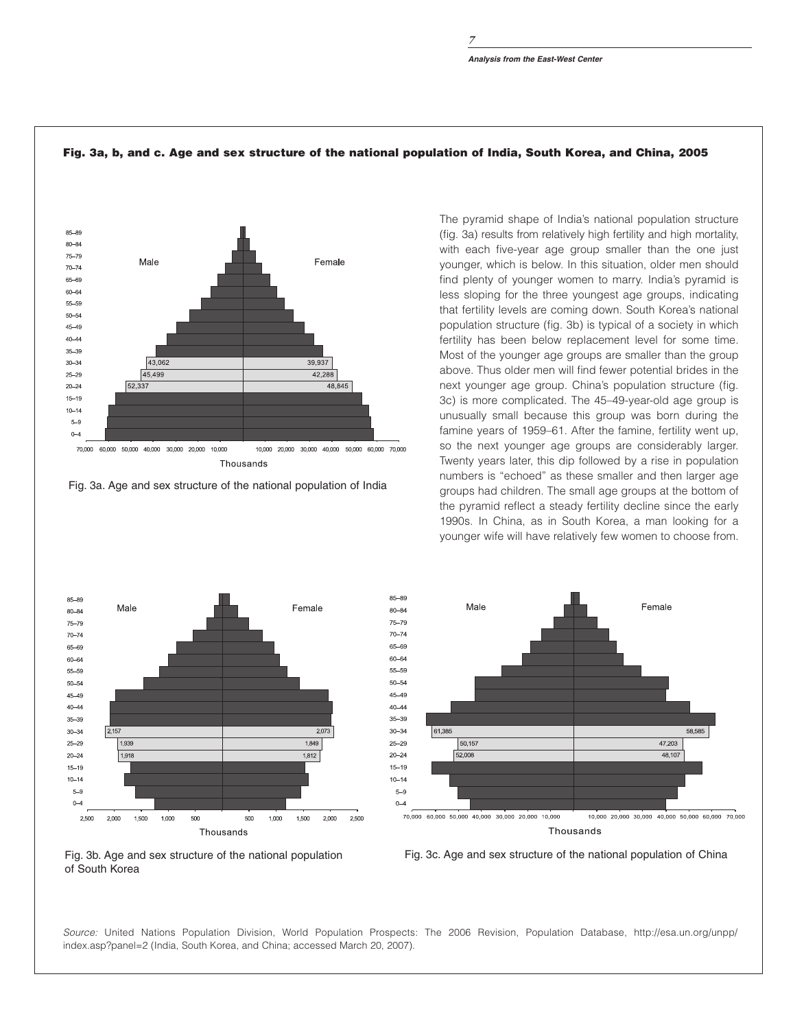

### Fig. 3a, b, and c. Age and sex structure of the national population of India, South Korea, and China, 2005

Fig. 3a. Age and sex structure of the national population of India

The pyramid shape of India's national population structure (fig. 3a) results from relatively high fertility and high mortality, with each five-year age group smaller than the one just younger, which is below. In this situation, older men should find plenty of younger women to marry. India's pyramid is less sloping for the three youngest age groups, indicating that fertility levels are coming down. South Korea's national population structure (fig. 3b) is typical of a society in which fertility has been below replacement level for some time. Most of the younger age groups are smaller than the group above. Thus older men will find fewer potential brides in the next younger age group. China's population structure (fig. 3c) is more complicated. The 45–49-year-old age group is unusually small because this group was born during the famine years of 1959–61. After the famine, fertility went up, so the next younger age groups are considerably larger. Twenty years later, this dip followed by a rise in population numbers is "echoed" as these smaller and then larger age groups had children. The small age groups at the bottom of the pyramid reflect a steady fertility decline since the early 1990s. In China, as in South Korea, a man looking for a younger wife will have relatively few women to choose from.









Source: United Nations Population Division, World Population Prospects: The 2006 Revision, Population Database, http://esa.un.org/unpp/ index.asp?panel=2 (India, South Korea, and China; accessed March 20, 2007).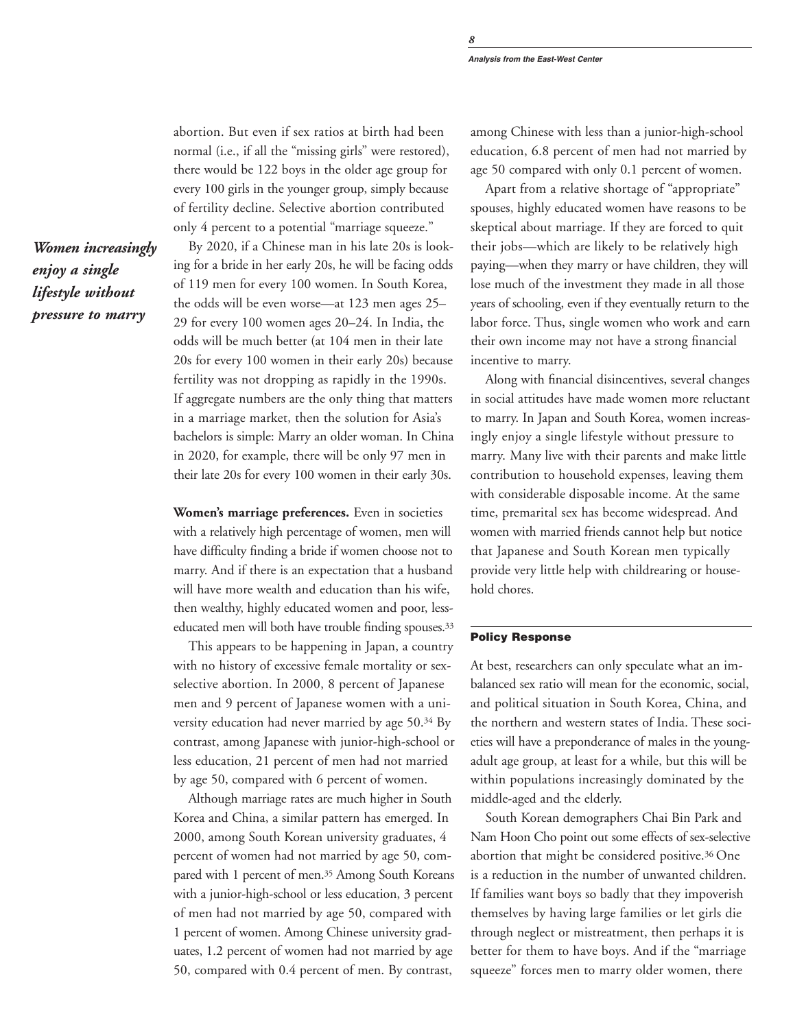abortion. But even if sex ratios at birth had been normal (i.e., if all the "missing girls" were restored), there would be 122 boys in the older age group for every 100 girls in the younger group, simply because of fertility decline. Selective abortion contributed only 4 percent to a potential "marriage squeeze."

*Women increasingly enjoy a single lifestyle without pressure to marry*

By 2020, if a Chinese man in his late 20s is looking for a bride in her early 20s, he will be facing odds of 119 men for every 100 women. In South Korea, the odds will be even worse—at 123 men ages 25– 29 for every 100 women ages 20–24. In India, the odds will be much better (at 104 men in their late 20s for every 100 women in their early 20s) because fertility was not dropping as rapidly in the 1990s. If aggregate numbers are the only thing that matters in a marriage market, then the solution for Asia's bachelors is simple: Marry an older woman. In China in 2020, for example, there will be only 97 men in their late 20s for every 100 women in their early 30s.

**Women's marriage preferences.** Even in societies with a relatively high percentage of women, men will have difficulty finding a bride if women choose not to marry. And if there is an expectation that a husband will have more wealth and education than his wife, then wealthy, highly educated women and poor, lesseducated men will both have trouble finding spouses.<sup>33</sup>

This appears to be happening in Japan, a country with no history of excessive female mortality or sexselective abortion. In 2000, 8 percent of Japanese men and 9 percent of Japanese women with a university education had never married by age 50.34 By contrast, among Japanese with junior-high-school or less education, 21 percent of men had not married by age 50, compared with 6 percent of women.

Although marriage rates are much higher in South Korea and China, a similar pattern has emerged. In 2000, among South Korean university graduates, 4 percent of women had not married by age 50, compared with 1 percent of men.35 Among South Koreans with a junior-high-school or less education, 3 percent of men had not married by age 50, compared with 1 percent of women. Among Chinese university graduates, 1.2 percent of women had not married by age 50, compared with 0.4 percent of men. By contrast,

among Chinese with less than a junior-high-school education, 6.8 percent of men had not married by age 50 compared with only 0.1 percent of women.

Apart from a relative shortage of "appropriate" spouses, highly educated women have reasons to be skeptical about marriage. If they are forced to quit their jobs—which are likely to be relatively high paying—when they marry or have children, they will lose much of the investment they made in all those years of schooling, even if they eventually return to the labor force. Thus, single women who work and earn their own income may not have a strong financial incentive to marry.

Along with financial disincentives, several changes in social attitudes have made women more reluctant to marry. In Japan and South Korea, women increasingly enjoy a single lifestyle without pressure to marry. Many live with their parents and make little contribution to household expenses, leaving them with considerable disposable income. At the same time, premarital sex has become widespread. And women with married friends cannot help but notice that Japanese and South Korean men typically provide very little help with childrearing or household chores.

### Policy Response

At best, researchers can only speculate what an imbalanced sex ratio will mean for the economic, social, and political situation in South Korea, China, and the northern and western states of India. These societies will have a preponderance of males in the youngadult age group, at least for a while, but this will be within populations increasingly dominated by the middle-aged and the elderly.

South Korean demographers Chai Bin Park and Nam Hoon Cho point out some effects of sex-selective abortion that might be considered positive.36 One is a reduction in the number of unwanted children. If families want boys so badly that they impoverish themselves by having large families or let girls die through neglect or mistreatment, then perhaps it is better for them to have boys. And if the "marriage squeeze" forces men to marry older women, there

*8*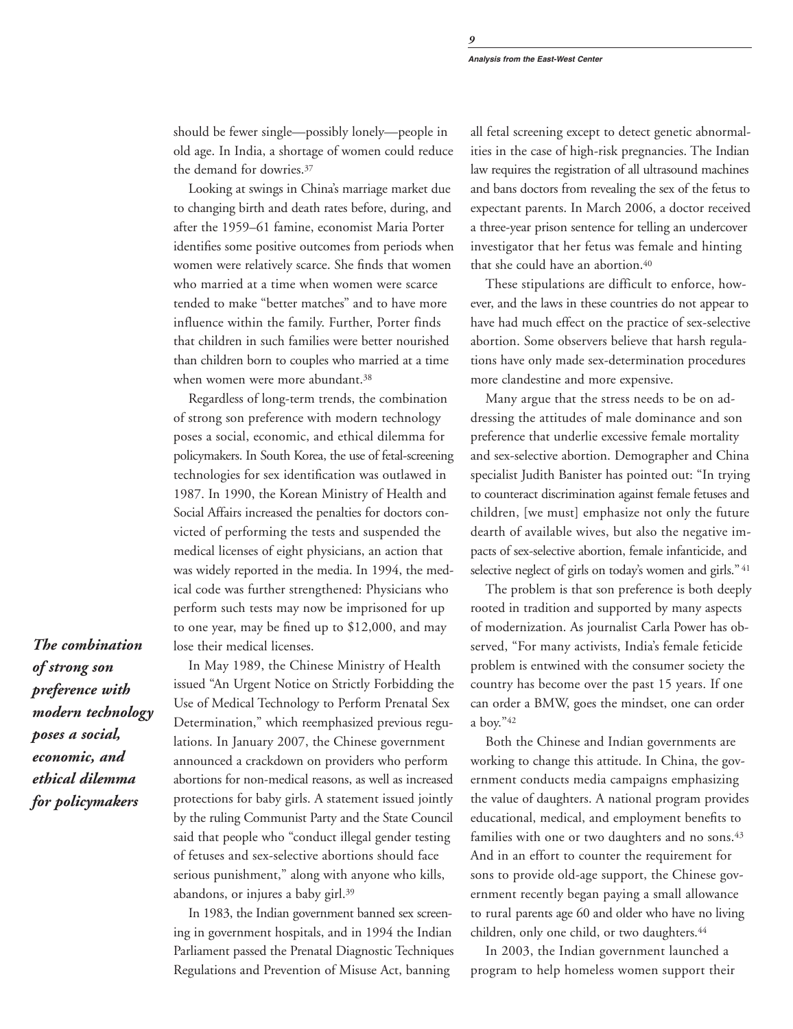**Analysis from the East-West Center**

should be fewer single—possibly lonely—people in old age. In India, a shortage of women could reduce the demand for dowries.37

Looking at swings in China's marriage market due to changing birth and death rates before, during, and after the 1959–61 famine, economist Maria Porter identifies some positive outcomes from periods when women were relatively scarce. She finds that women who married at a time when women were scarce tended to make "better matches" and to have more influence within the family. Further, Porter finds that children in such families were better nourished than children born to couples who married at a time when women were more abundant.<sup>38</sup>

Regardless of long-term trends, the combination of strong son preference with modern technology poses a social, economic, and ethical dilemma for policymakers. In South Korea, the use of fetal-screening technologies for sex identification was outlawed in 1987. In 1990, the Korean Ministry of Health and Social Affairs increased the penalties for doctors convicted of performing the tests and suspended the medical licenses of eight physicians, an action that was widely reported in the media. In 1994, the medical code was further strengthened: Physicians who perform such tests may now be imprisoned for up to one year, may be fined up to \$12,000, and may lose their medical licenses.

*of strong son preference with modern technology poses a social, economic, and ethical dilemma for policymakers*

*The combination*

In May 1989, the Chinese Ministry of Health issued "An Urgent Notice on Strictly Forbidding the Use of Medical Technology to Perform Prenatal Sex Determination," which reemphasized previous regulations. In January 2007, the Chinese government announced a crackdown on providers who perform abortions for non-medical reasons, as well as increased protections for baby girls. A statement issued jointly by the ruling Communist Party and the State Council said that people who "conduct illegal gender testing of fetuses and sex-selective abortions should face serious punishment," along with anyone who kills, abandons, or injures a baby girl.39

In 1983, the Indian government banned sex screening in government hospitals, and in 1994 the Indian Parliament passed the Prenatal Diagnostic Techniques Regulations and Prevention of Misuse Act, banning

all fetal screening except to detect genetic abnormalities in the case of high-risk pregnancies. The Indian law requires the registration of all ultrasound machines and bans doctors from revealing the sex of the fetus to expectant parents. In March 2006, a doctor received a three-year prison sentence for telling an undercover investigator that her fetus was female and hinting that she could have an abortion.40

These stipulations are difficult to enforce, however, and the laws in these countries do not appear to have had much effect on the practice of sex-selective abortion. Some observers believe that harsh regulations have only made sex-determination procedures more clandestine and more expensive.

Many argue that the stress needs to be on addressing the attitudes of male dominance and son preference that underlie excessive female mortality and sex-selective abortion. Demographer and China specialist Judith Banister has pointed out: "In trying to counteract discrimination against female fetuses and children, [we must] emphasize not only the future dearth of available wives, but also the negative impacts of sex-selective abortion, female infanticide, and selective neglect of girls on today's women and girls." <sup>41</sup>

The problem is that son preference is both deeply rooted in tradition and supported by many aspects of modernization. As journalist Carla Power has observed, "For many activists, India's female feticide problem is entwined with the consumer society the country has become over the past 15 years. If one can order a BMW, goes the mindset, one can order a boy."42

Both the Chinese and Indian governments are working to change this attitude. In China, the government conducts media campaigns emphasizing the value of daughters. A national program provides educational, medical, and employment benefits to families with one or two daughters and no sons.<sup>43</sup> And in an effort to counter the requirement for sons to provide old-age support, the Chinese government recently began paying a small allowance to rural parents age 60 and older who have no living children, only one child, or two daughters.<sup>44</sup>

In 2003, the Indian government launched a program to help homeless women support their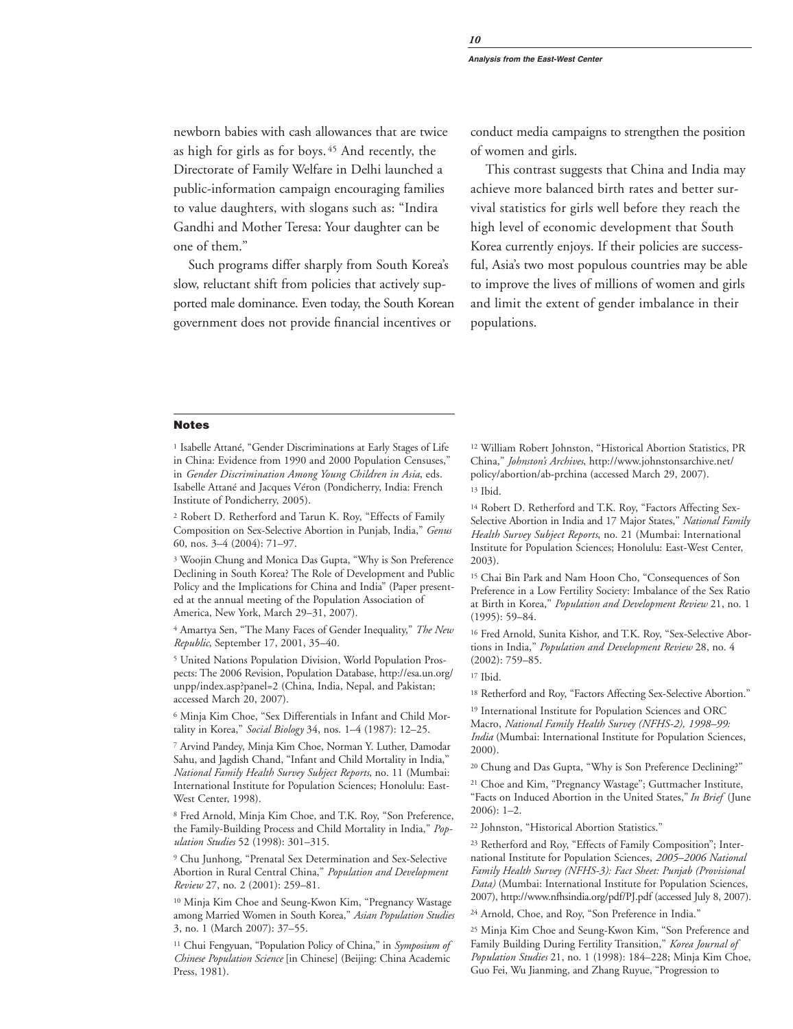newborn babies with cash allowances that are twice as high for girls as for boys. <sup>45</sup> And recently, the Directorate of Family Welfare in Delhi launched a public-information campaign encouraging families to value daughters, with slogans such as: "Indira Gandhi and Mother Teresa: Your daughter can be one of them."

Such programs differ sharply from South Korea's slow, reluctant shift from policies that actively supported male dominance. Even today, the South Korean government does not provide financial incentives or

conduct media campaigns to strengthen the position of women and girls.

This contrast suggests that China and India may achieve more balanced birth rates and better survival statistics for girls well before they reach the high level of economic development that South Korea currently enjoys. If their policies are successful, Asia's two most populous countries may be able to improve the lives of millions of women and girls and limit the extent of gender imbalance in their populations.

### Notes

<sup>1</sup> Isabelle Attané, "Gender Discriminations at Early Stages of Life in China: Evidence from 1990 and 2000 Population Censuses," in *Gender Discrimination Among Young Children in Asia*, eds. Isabelle Attané and Jacques Véron (Pondicherry, India: French Institute of Pondicherry, 2005).

<sup>2</sup> Robert D. Retherford and Tarun K. Roy, "Effects of Family Composition on Sex-Selective Abortion in Punjab, India," *Genus* 60, nos. 3–4 (2004): 71–97.

<sup>3</sup> Woojin Chung and Monica Das Gupta, "Why is Son Preference Declining in South Korea? The Role of Development and Public Policy and the Implications for China and India" (Paper presented at the annual meeting of the Population Association of America, New York, March 29–31, 2007).

<sup>4</sup> Amartya Sen, "The Many Faces of Gender Inequality," *The New Republic*, September 17, 2001, 35–40.

<sup>5</sup> United Nations Population Division, World Population Prospects: The 2006 Revision, Population Database, http://esa.un.org/ unpp/index.asp?panel=2 (China, India, Nepal, and Pakistan; accessed March 20, 2007).

<sup>6</sup> Minja Kim Choe, "Sex Differentials in Infant and Child Mortality in Korea," *Social Biology* 34, nos. 1–4 (1987): 12–25.

<sup>7</sup> Arvind Pandey, Minja Kim Choe, Norman Y. Luther, Damodar Sahu, and Jagdish Chand, "Infant and Child Mortality in India," *National Family Health Survey Subject Reports*, no. 11 (Mumbai: International Institute for Population Sciences; Honolulu: East-West Center, 1998).

<sup>8</sup> Fred Arnold, Minja Kim Choe, and T.K. Roy, "Son Preference, the Family-Building Process and Child Mortality in India," *Population Studies* 52 (1998): 301–315.

<sup>9</sup> Chu Junhong, "Prenatal Sex Determination and Sex-Selective Abortion in Rural Central China," *Population and Development Review* 27, no. 2 (2001): 259–81.

<sup>10</sup> Minja Kim Choe and Seung-Kwon Kim, "Pregnancy Wastage among Married Women in South Korea," *Asian Population Studies* 3, no. 1 (March 2007): 37–55.

<sup>11</sup> Chui Fengyuan, "Population Policy of China," in *Symposium of Chinese Population Science* [in Chinese] (Beijing: China Academic Press, 1981).

<sup>12</sup> William Robert Johnston, "Historical Abortion Statistics, PR China," *Johnston's Archives*, http://www.johnstonsarchive.net/ policy/abortion/ab-prchina (accessed March 29, 2007). <sup>13</sup> Ibid.

<sup>14</sup> Robert D. Retherford and T.K. Roy, "Factors Affecting Sex-Selective Abortion in India and 17 Major States," *National Family Health Survey Subject Reports*, no. 21 (Mumbai: International Institute for Population Sciences; Honolulu: East-West Center, 2003).

<sup>15</sup> Chai Bin Park and Nam Hoon Cho, "Consequences of Son Preference in a Low Fertility Society: Imbalance of the Sex Ratio at Birth in Korea," *Population and Development Review* 21, no. 1 (1995): 59–84.

<sup>16</sup> Fred Arnold, Sunita Kishor, and T.K. Roy, "Sex-Selective Abortions in India," *Population and Development Review* 28, no. 4 (2002): 759–85.

<sup>17</sup> Ibid.

<sup>18</sup> Retherford and Roy, "Factors Affecting Sex-Selective Abortion."

<sup>19</sup> International Institute for Population Sciences and ORC Macro, *National Family Health Survey (NFHS-2), 1998–99: India* (Mumbai: International Institute for Population Sciences, 2000).

<sup>20</sup> Chung and Das Gupta, "Why is Son Preference Declining?"

<sup>21</sup> Choe and Kim, "Pregnancy Wastage"; Guttmacher Institute, "Facts on Induced Abortion in the United States," *In Brief* (June 2006): 1–2.

<sup>22</sup> Johnston, "Historical Abortion Statistics."

<sup>23</sup> Retherford and Roy, "Effects of Family Composition"; International Institute for Population Sciences, *2005–2006 National Family Health Survey (NFHS-3): Fact Sheet: Punjab (Provisional Data)* (Mumbai: International Institute for Population Sciences, 2007), http://www.nfhsindia.org/pdf/PJ.pdf (accessed July 8, 2007).

<sup>24</sup> Arnold, Choe, and Roy, "Son Preference in India."

<sup>25</sup> Minja Kim Choe and Seung-Kwon Kim, "Son Preference and Family Building During Fertility Transition," *Korea Journal of Population Studies* 21, no. 1 (1998): 184–228; Minja Kim Choe, Guo Fei, Wu Jianming, and Zhang Ruyue, "Progression to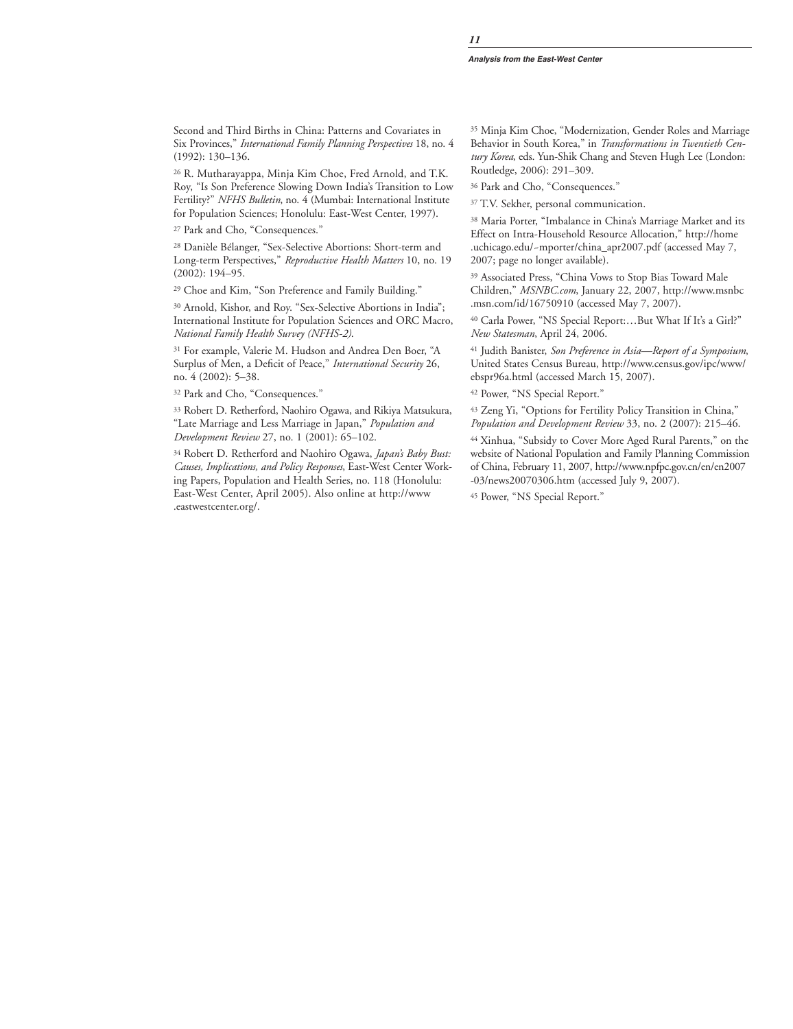Second and Third Births in China: Patterns and Covariates in Six Provinces," *International Family Planning Perspectives* 18, no. 4 (1992): 130–136.

<sup>26</sup> R. Mutharayappa, Minja Kim Choe, Fred Arnold, and T.K. Roy, "Is Son Preference Slowing Down India's Transition to Low Fertility?" *NFHS Bulletin*, no. 4 (Mumbai: International Institute for Population Sciences; Honolulu: East-West Center, 1997).

<sup>27</sup> Park and Cho, "Consequences."

<sup>28</sup> Danièle Bélanger, "Sex-Selective Abortions: Short-term and Long-term Perspectives," *Reproductive Health Matters* 10, no. 19 (2002): 194–95.

<sup>29</sup> Choe and Kim, "Son Preference and Family Building."

<sup>30</sup> Arnold, Kishor, and Roy. "Sex-Selective Abortions in India"; International Institute for Population Sciences and ORC Macro, *National Family Health Survey (NFHS-2)*.

<sup>31</sup> For example, Valerie M. Hudson and Andrea Den Boer, "A Surplus of Men, a Deficit of Peace," *International Security* 26, no. 4 (2002): 5–38.

<sup>32</sup> Park and Cho, "Consequences."

<sup>33</sup> Robert D. Retherford, Naohiro Ogawa, and Rikiya Matsukura, "Late Marriage and Less Marriage in Japan," *Population and Development Review* 27, no. 1 (2001): 65–102.

<sup>34</sup> Robert D. Retherford and Naohiro Ogawa, *Japan's Baby Bust: Causes, Implications, and Policy Responses*, East-West Center Working Papers, Population and Health Series, no. 118 (Honolulu: East-West Center, April 2005). Also online at http://www .eastwestcenter.org/.

<sup>35</sup> Minja Kim Choe, "Modernization, Gender Roles and Marriage Behavior in South Korea," in *Transformations in Twentieth Century Korea*, eds. Yun-Shik Chang and Steven Hugh Lee (London: Routledge, 2006): 291–309.

<sup>36</sup> Park and Cho, "Consequences."

<sup>37</sup> T.V. Sekher, personal communication.

<sup>38</sup> Maria Porter, "Imbalance in China's Marriage Market and its Effect on Intra-Household Resource Allocation," http://home .uchicago.edu/~mporter/china\_apr2007.pdf (accessed May 7, 2007; page no longer available).

<sup>39</sup> Associated Press, "China Vows to Stop Bias Toward Male Children," *MSNBC.com*, January 22, 2007, http://www.msnbc .msn.com/id/16750910 (accessed May 7, 2007).

<sup>40</sup> Carla Power, "NS Special Report:…But What If It's a Girl?" *New Statesman*, April 24, 2006.

<sup>41</sup> Judith Banister, *Son Preference in Asia—Report of a Symposium*, United States Census Bureau, http://www.census.gov/ipc/www/ ebspr96a.html (accessed March 15, 2007).

<sup>42</sup> Power, "NS Special Report."

<sup>43</sup> Zeng Yi, "Options for Fertility Policy Transition in China," *Population and Development Review* 33, no. 2 (2007): 215–46.

<sup>44</sup> Xinhua, "Subsidy to Cover More Aged Rural Parents," on the website of National Population and Family Planning Commission of China, February 11, 2007, http://www.npfpc.gov.cn/en/en2007 -03/news20070306.htm (accessed July 9, 2007).

<sup>45</sup> Power, "NS Special Report."